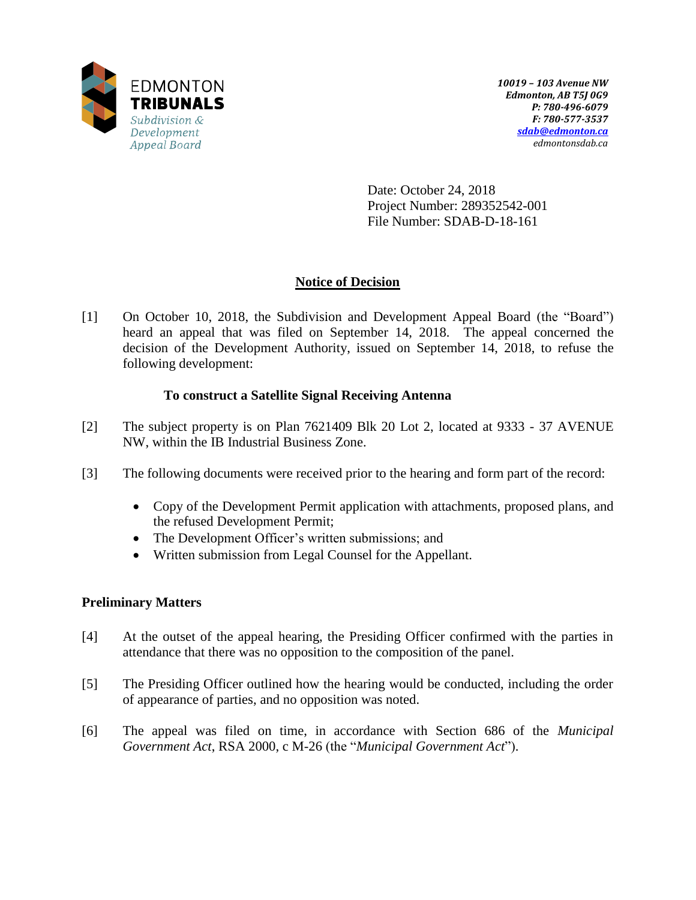

Date: October 24, 2018 Project Number: 289352542-001 File Number: SDAB-D-18-161

# **Notice of Decision**

[1] On October 10, 2018, the Subdivision and Development Appeal Board (the "Board") heard an appeal that was filed on September 14, 2018. The appeal concerned the decision of the Development Authority, issued on September 14, 2018, to refuse the following development:

## **To construct a Satellite Signal Receiving Antenna**

- [2] The subject property is on Plan 7621409 Blk 20 Lot 2, located at 9333 37 AVENUE NW, within the IB Industrial Business Zone.
- [3] The following documents were received prior to the hearing and form part of the record:
	- Copy of the Development Permit application with attachments, proposed plans, and the refused Development Permit;
	- The Development Officer's written submissions; and
	- Written submission from Legal Counsel for the Appellant.

## **Preliminary Matters**

- [4] At the outset of the appeal hearing, the Presiding Officer confirmed with the parties in attendance that there was no opposition to the composition of the panel.
- [5] The Presiding Officer outlined how the hearing would be conducted, including the order of appearance of parties, and no opposition was noted.
- [6] The appeal was filed on time, in accordance with Section 686 of the *Municipal Government Act*, RSA 2000, c M-26 (the "*Municipal Government Act*").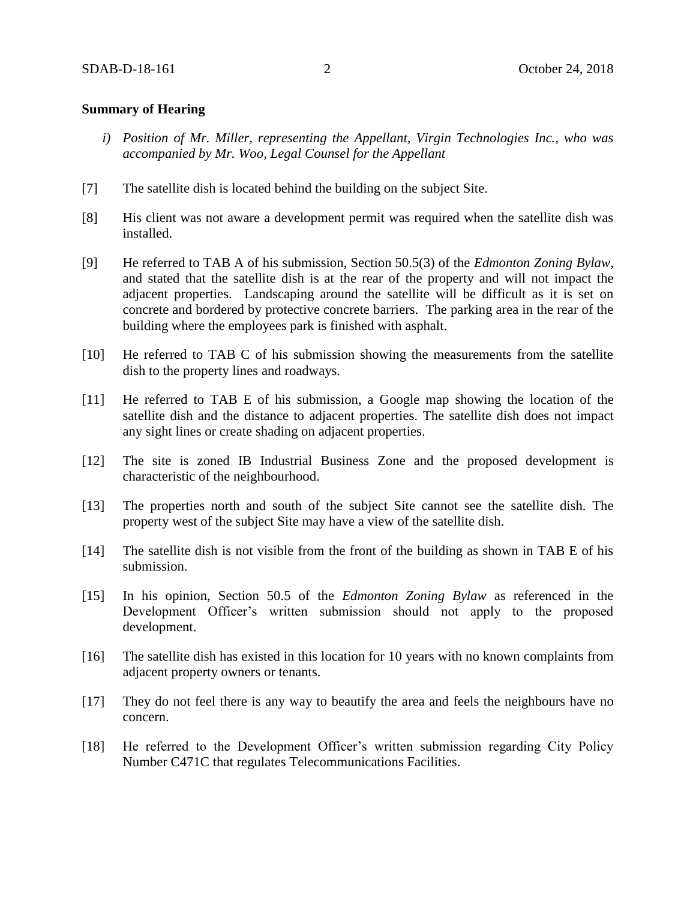### **Summary of Hearing**

- *i) Position of Mr. Miller, representing the Appellant, Virgin Technologies Inc., who was accompanied by Mr. Woo, Legal Counsel for the Appellant*
- [7] The satellite dish is located behind the building on the subject Site.
- [8] His client was not aware a development permit was required when the satellite dish was installed.
- [9] He referred to TAB A of his submission, Section 50.5(3) of the *Edmonton Zoning Bylaw*, and stated that the satellite dish is at the rear of the property and will not impact the adjacent properties. Landscaping around the satellite will be difficult as it is set on concrete and bordered by protective concrete barriers. The parking area in the rear of the building where the employees park is finished with asphalt.
- [10] He referred to TAB C of his submission showing the measurements from the satellite dish to the property lines and roadways.
- [11] He referred to TAB E of his submission, a Google map showing the location of the satellite dish and the distance to adjacent properties. The satellite dish does not impact any sight lines or create shading on adjacent properties.
- [12] The site is zoned IB Industrial Business Zone and the proposed development is characteristic of the neighbourhood.
- [13] The properties north and south of the subject Site cannot see the satellite dish. The property west of the subject Site may have a view of the satellite dish.
- [14] The satellite dish is not visible from the front of the building as shown in TAB E of his submission.
- [15] In his opinion, Section 50.5 of the *Edmonton Zoning Bylaw* as referenced in the Development Officer's written submission should not apply to the proposed development.
- [16] The satellite dish has existed in this location for 10 years with no known complaints from adjacent property owners or tenants.
- [17] They do not feel there is any way to beautify the area and feels the neighbours have no concern.
- [18] He referred to the Development Officer's written submission regarding City Policy Number C471C that regulates Telecommunications Facilities.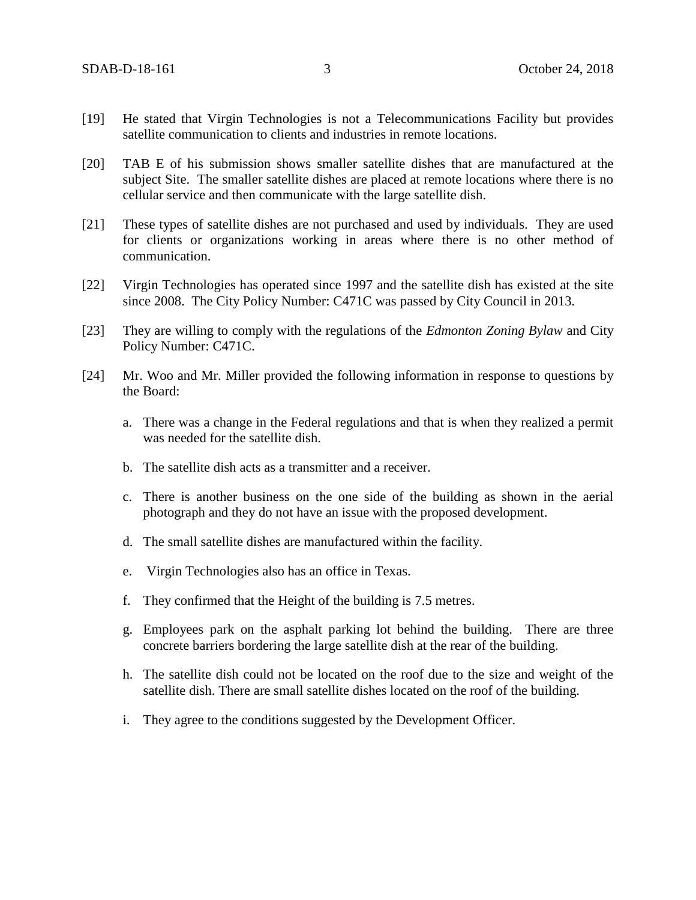- [19] He stated that Virgin Technologies is not a Telecommunications Facility but provides satellite communication to clients and industries in remote locations.
- [20] TAB E of his submission shows smaller satellite dishes that are manufactured at the subject Site. The smaller satellite dishes are placed at remote locations where there is no cellular service and then communicate with the large satellite dish.
- [21] These types of satellite dishes are not purchased and used by individuals. They are used for clients or organizations working in areas where there is no other method of communication.
- [22] Virgin Technologies has operated since 1997 and the satellite dish has existed at the site since 2008. The City Policy Number: C471C was passed by City Council in 2013.
- [23] They are willing to comply with the regulations of the *Edmonton Zoning Bylaw* and City Policy Number: C471C.
- [24] Mr. Woo and Mr. Miller provided the following information in response to questions by the Board:
	- a. There was a change in the Federal regulations and that is when they realized a permit was needed for the satellite dish.
	- b. The satellite dish acts as a transmitter and a receiver.
	- c. There is another business on the one side of the building as shown in the aerial photograph and they do not have an issue with the proposed development.
	- d. The small satellite dishes are manufactured within the facility.
	- e. Virgin Technologies also has an office in Texas.
	- f. They confirmed that the Height of the building is 7.5 metres.
	- g. Employees park on the asphalt parking lot behind the building. There are three concrete barriers bordering the large satellite dish at the rear of the building.
	- h. The satellite dish could not be located on the roof due to the size and weight of the satellite dish. There are small satellite dishes located on the roof of the building.
	- i. They agree to the conditions suggested by the Development Officer.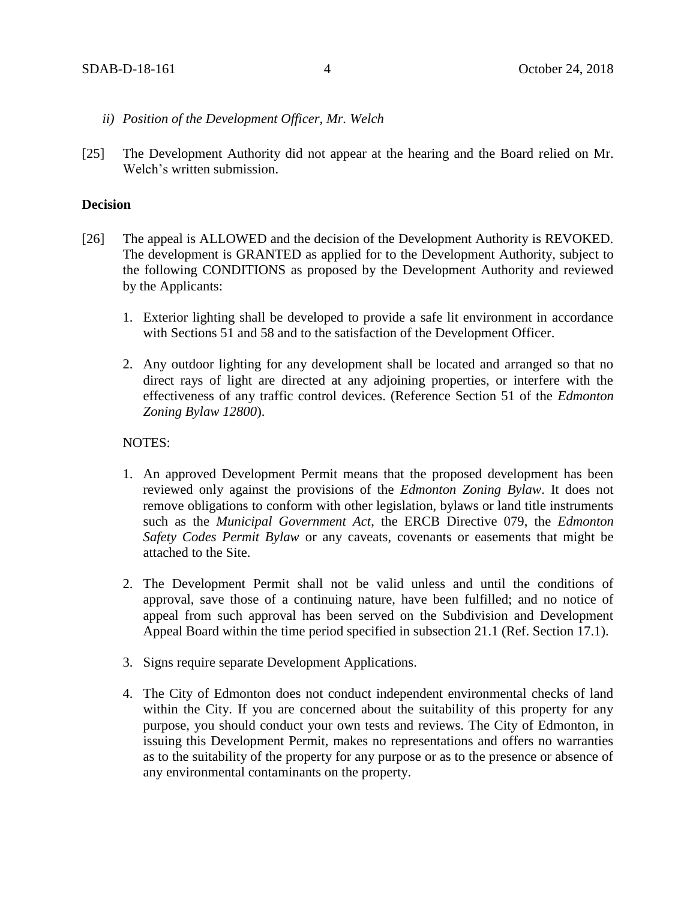- *ii) Position of the Development Officer, Mr. Welch*
- [25] The Development Authority did not appear at the hearing and the Board relied on Mr. Welch's written submission.

#### **Decision**

- [26] The appeal is ALLOWED and the decision of the Development Authority is REVOKED. The development is GRANTED as applied for to the Development Authority, subject to the following CONDITIONS as proposed by the Development Authority and reviewed by the Applicants:
	- 1. Exterior lighting shall be developed to provide a safe lit environment in accordance with Sections 51 and 58 and to the satisfaction of the Development Officer.
	- 2. Any outdoor lighting for any development shall be located and arranged so that no direct rays of light are directed at any adjoining properties, or interfere with the effectiveness of any traffic control devices. (Reference Section 51 of the *Edmonton Zoning Bylaw 12800*).

### NOTES:

- 1. An approved Development Permit means that the proposed development has been reviewed only against the provisions of the *Edmonton Zoning Bylaw*. It does not remove obligations to conform with other legislation, bylaws or land title instruments such as the *Municipal Government Act*, the ERCB Directive 079, the *Edmonton Safety Codes Permit Bylaw* or any caveats, covenants or easements that might be attached to the Site.
- 2. The Development Permit shall not be valid unless and until the conditions of approval, save those of a continuing nature, have been fulfilled; and no notice of appeal from such approval has been served on the Subdivision and Development Appeal Board within the time period specified in subsection 21.1 (Ref. Section 17.1).
- 3. Signs require separate Development Applications.
- 4. The City of Edmonton does not conduct independent environmental checks of land within the City. If you are concerned about the suitability of this property for any purpose, you should conduct your own tests and reviews. The City of Edmonton, in issuing this Development Permit, makes no representations and offers no warranties as to the suitability of the property for any purpose or as to the presence or absence of any environmental contaminants on the property.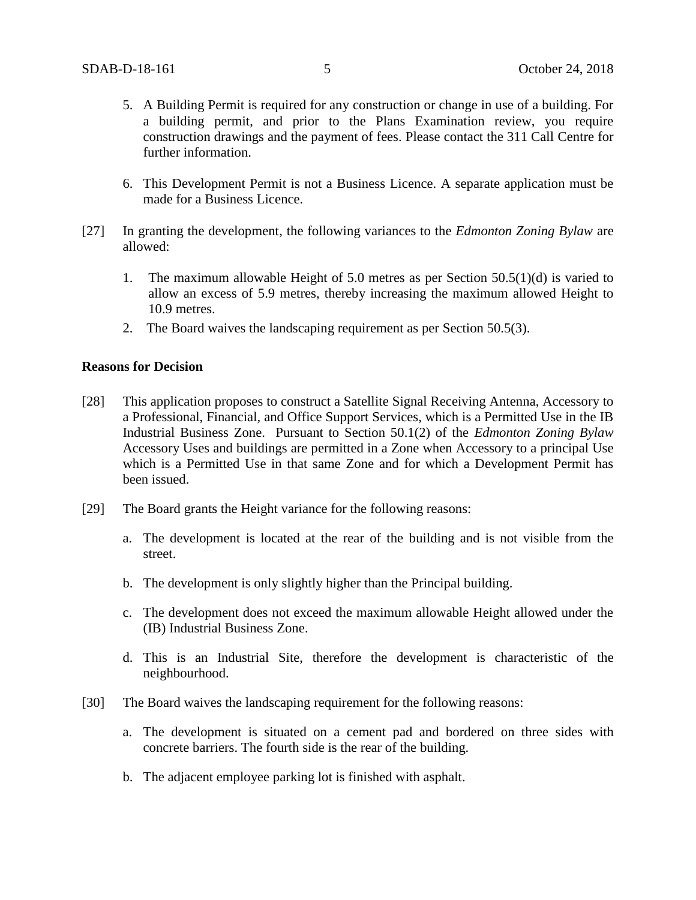- 5. A Building Permit is required for any construction or change in use of a building. For a building permit, and prior to the Plans Examination review, you require construction drawings and the payment of fees. Please contact the 311 Call Centre for further information.
- 6. This Development Permit is not a Business Licence. A separate application must be made for a Business Licence.
- [27] In granting the development, the following variances to the *Edmonton Zoning Bylaw* are allowed:
	- 1. The maximum allowable Height of 5.0 metres as per Section 50.5(1)(d) is varied to allow an excess of 5.9 metres, thereby increasing the maximum allowed Height to 10.9 metres.
	- 2. The Board waives the landscaping requirement as per Section 50.5(3).

### **Reasons for Decision**

- [28] This application proposes to construct a Satellite Signal Receiving Antenna, Accessory to a Professional, Financial, and Office Support Services, which is a Permitted Use in the IB Industrial Business Zone. Pursuant to Section 50.1(2) of the *Edmonton Zoning Bylaw* Accessory Uses and buildings are permitted in a Zone when Accessory to a principal Use which is a Permitted Use in that same Zone and for which a Development Permit has been issued.
- [29] The Board grants the Height variance for the following reasons:
	- a. The development is located at the rear of the building and is not visible from the street.
	- b. The development is only slightly higher than the Principal building.
	- c. The development does not exceed the maximum allowable Height allowed under the (IB) Industrial Business Zone.
	- d. This is an Industrial Site, therefore the development is characteristic of the neighbourhood.
- [30] The Board waives the landscaping requirement for the following reasons:
	- a. The development is situated on a cement pad and bordered on three sides with concrete barriers. The fourth side is the rear of the building.
	- b. The adjacent employee parking lot is finished with asphalt.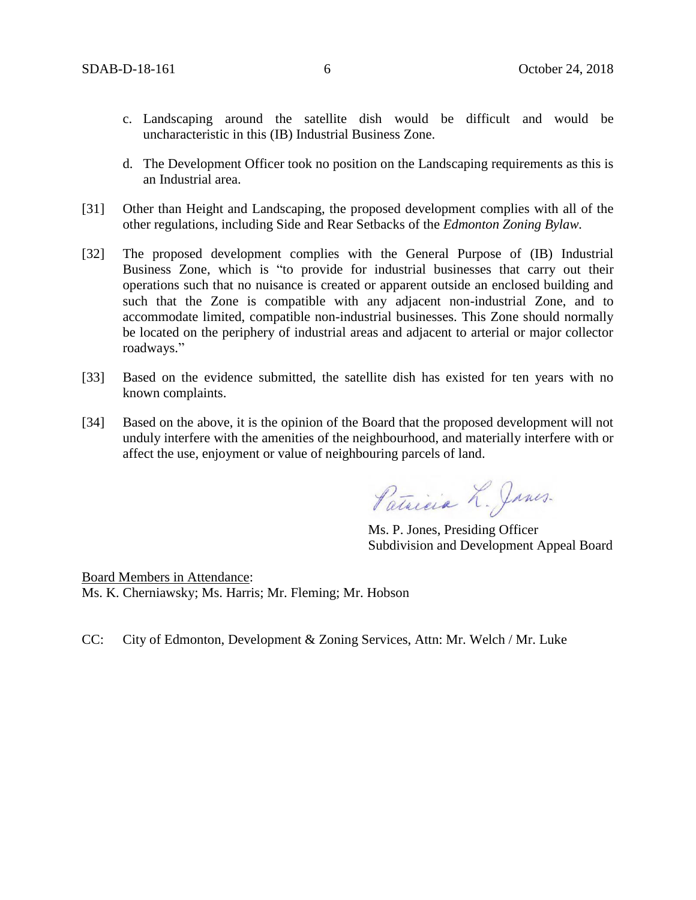- c. Landscaping around the satellite dish would be difficult and would be uncharacteristic in this (IB) Industrial Business Zone.
- d. The Development Officer took no position on the Landscaping requirements as this is an Industrial area.
- [31] Other than Height and Landscaping, the proposed development complies with all of the other regulations, including Side and Rear Setbacks of the *Edmonton Zoning Bylaw.*
- [32] The proposed development complies with the General Purpose of (IB) Industrial Business Zone, which is "to provide for industrial businesses that carry out their operations such that no nuisance is created or apparent outside an enclosed building and such that the Zone is compatible with any adjacent non-industrial Zone, and to accommodate limited, compatible non-industrial businesses. This Zone should normally be located on the periphery of industrial areas and adjacent to arterial or major collector roadways."
- [33] Based on the evidence submitted, the satellite dish has existed for ten years with no known complaints.
- [34] Based on the above, it is the opinion of the Board that the proposed development will not unduly interfere with the amenities of the neighbourhood, and materially interfere with or affect the use, enjoyment or value of neighbouring parcels of land.

Patricia L. Janes.

Ms. P. Jones, Presiding Officer Subdivision and Development Appeal Board

Board Members in Attendance: Ms. K. Cherniawsky; Ms. Harris; Mr. Fleming; Mr. Hobson

CC: City of Edmonton, Development & Zoning Services, Attn: Mr. Welch / Mr. Luke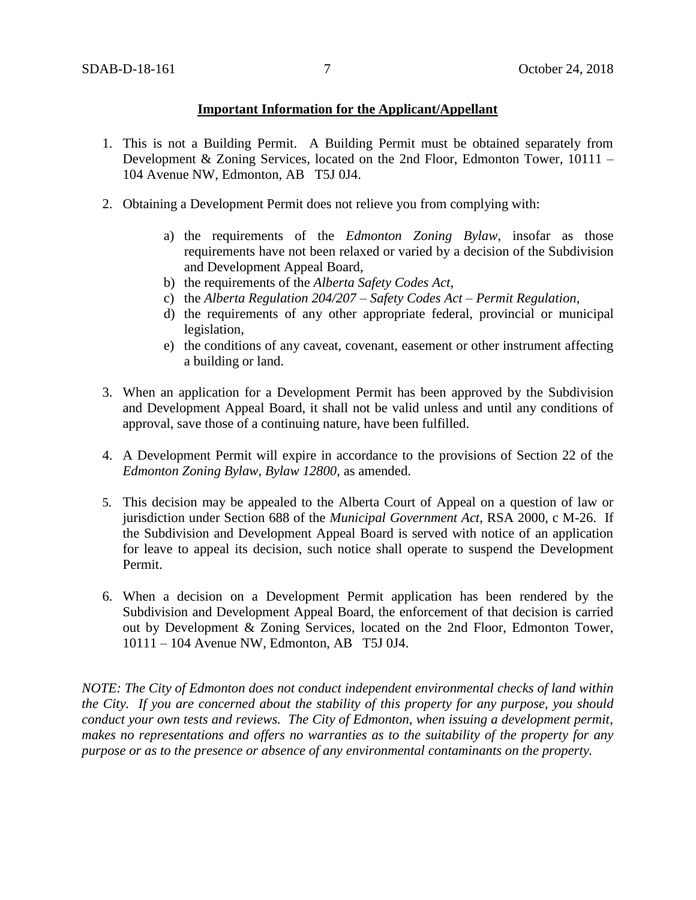### **Important Information for the Applicant/Appellant**

- 1. This is not a Building Permit. A Building Permit must be obtained separately from Development & Zoning Services, located on the 2nd Floor, Edmonton Tower, 10111 – 104 Avenue NW, Edmonton, AB T5J 0J4.
- 2. Obtaining a Development Permit does not relieve you from complying with:
	- a) the requirements of the *Edmonton Zoning Bylaw*, insofar as those requirements have not been relaxed or varied by a decision of the Subdivision and Development Appeal Board,
	- b) the requirements of the *Alberta Safety Codes Act*,
	- c) the *Alberta Regulation 204/207 – Safety Codes Act – Permit Regulation*,
	- d) the requirements of any other appropriate federal, provincial or municipal legislation,
	- e) the conditions of any caveat, covenant, easement or other instrument affecting a building or land.
- 3. When an application for a Development Permit has been approved by the Subdivision and Development Appeal Board, it shall not be valid unless and until any conditions of approval, save those of a continuing nature, have been fulfilled.
- 4. A Development Permit will expire in accordance to the provisions of Section 22 of the *Edmonton Zoning Bylaw, Bylaw 12800*, as amended.
- 5. This decision may be appealed to the Alberta Court of Appeal on a question of law or jurisdiction under Section 688 of the *Municipal Government Act*, RSA 2000, c M-26. If the Subdivision and Development Appeal Board is served with notice of an application for leave to appeal its decision, such notice shall operate to suspend the Development Permit.
- 6. When a decision on a Development Permit application has been rendered by the Subdivision and Development Appeal Board, the enforcement of that decision is carried out by Development & Zoning Services, located on the 2nd Floor, Edmonton Tower, 10111 – 104 Avenue NW, Edmonton, AB T5J 0J4.

*NOTE: The City of Edmonton does not conduct independent environmental checks of land within the City. If you are concerned about the stability of this property for any purpose, you should conduct your own tests and reviews. The City of Edmonton, when issuing a development permit, makes no representations and offers no warranties as to the suitability of the property for any purpose or as to the presence or absence of any environmental contaminants on the property.*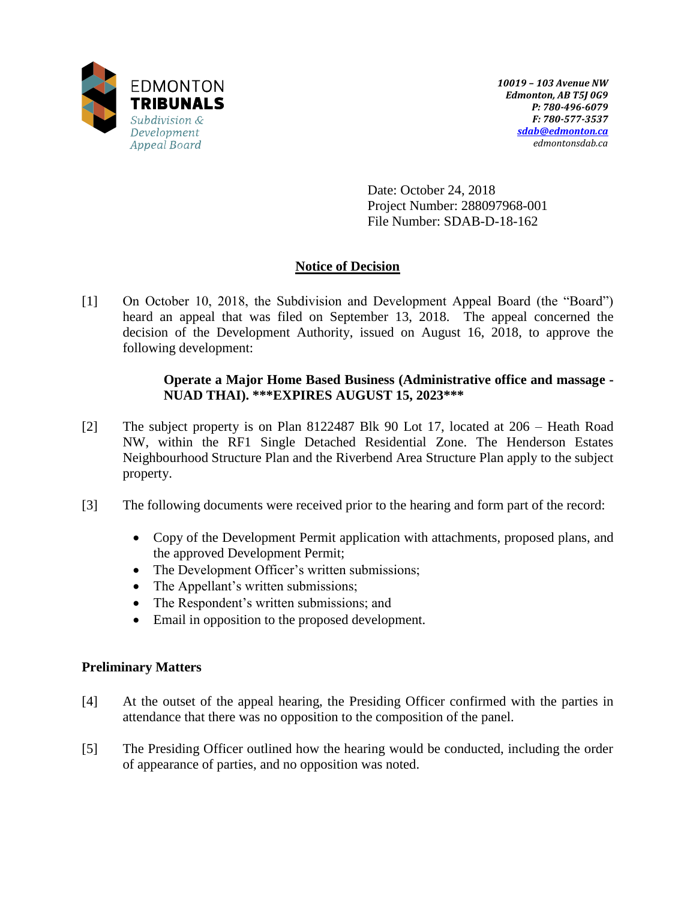

Date: October 24, 2018 Project Number: 288097968-001 File Number: SDAB-D-18-162

# **Notice of Decision**

[1] On October 10, 2018, the Subdivision and Development Appeal Board (the "Board") heard an appeal that was filed on September 13, 2018. The appeal concerned the decision of the Development Authority, issued on August 16, 2018, to approve the following development:

## **Operate a Major Home Based Business (Administrative office and massage - NUAD THAI). \*\*\*EXPIRES AUGUST 15, 2023\*\*\***

- [2] The subject property is on Plan 8122487 Blk 90 Lot 17, located at 206 Heath Road NW, within the RF1 Single Detached Residential Zone. The Henderson Estates Neighbourhood Structure Plan and the Riverbend Area Structure Plan apply to the subject property.
- [3] The following documents were received prior to the hearing and form part of the record:
	- Copy of the Development Permit application with attachments, proposed plans, and the approved Development Permit;
	- The Development Officer's written submissions;
	- The Appellant's written submissions;
	- The Respondent's written submissions; and
	- Email in opposition to the proposed development.

## **Preliminary Matters**

- [4] At the outset of the appeal hearing, the Presiding Officer confirmed with the parties in attendance that there was no opposition to the composition of the panel.
- [5] The Presiding Officer outlined how the hearing would be conducted, including the order of appearance of parties, and no opposition was noted.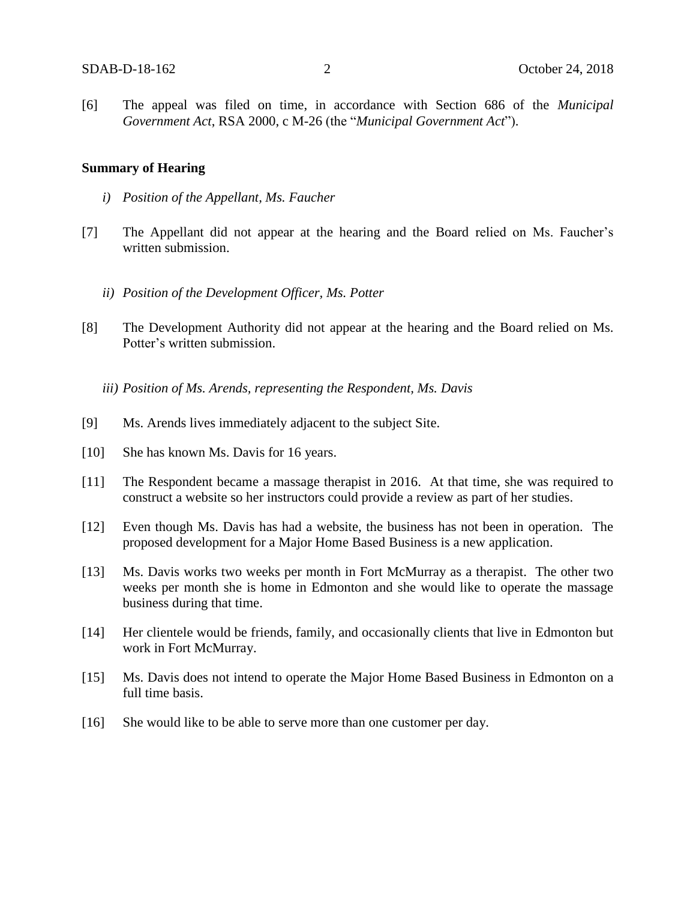[6] The appeal was filed on time, in accordance with Section 686 of the *Municipal Government Act*, RSA 2000, c M-26 (the "*Municipal Government Act*").

#### **Summary of Hearing**

- *i) Position of the Appellant, Ms. Faucher*
- [7] The Appellant did not appear at the hearing and the Board relied on Ms. Faucher's written submission.
	- *ii) Position of the Development Officer, Ms. Potter*
- [8] The Development Authority did not appear at the hearing and the Board relied on Ms. Potter's written submission.

*iii) Position of Ms. Arends, representing the Respondent, Ms. Davis* 

- [9] Ms. Arends lives immediately adjacent to the subject Site.
- [10] She has known Ms. Davis for 16 years.
- [11] The Respondent became a massage therapist in 2016. At that time, she was required to construct a website so her instructors could provide a review as part of her studies.
- [12] Even though Ms. Davis has had a website, the business has not been in operation. The proposed development for a Major Home Based Business is a new application.
- [13] Ms. Davis works two weeks per month in Fort McMurray as a therapist. The other two weeks per month she is home in Edmonton and she would like to operate the massage business during that time.
- [14] Her clientele would be friends, family, and occasionally clients that live in Edmonton but work in Fort McMurray.
- [15] Ms. Davis does not intend to operate the Major Home Based Business in Edmonton on a full time basis.
- [16] She would like to be able to serve more than one customer per day.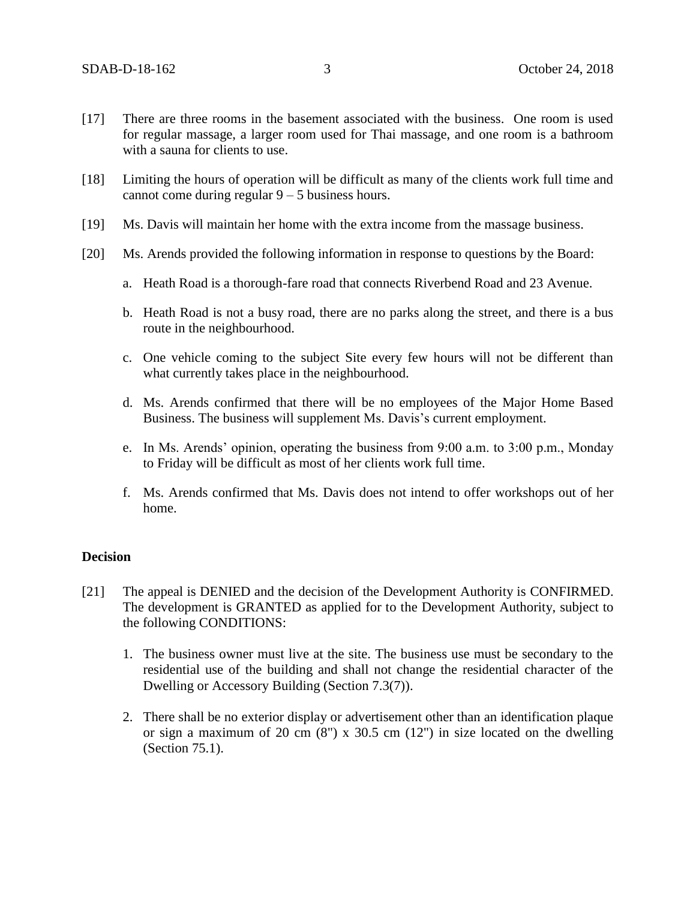- [17] There are three rooms in the basement associated with the business. One room is used for regular massage, a larger room used for Thai massage, and one room is a bathroom with a sauna for clients to use.
- [18] Limiting the hours of operation will be difficult as many of the clients work full time and cannot come during regular 9 – 5 business hours.
- [19] Ms. Davis will maintain her home with the extra income from the massage business.
- [20] Ms. Arends provided the following information in response to questions by the Board:
	- a. Heath Road is a thorough-fare road that connects Riverbend Road and 23 Avenue.
	- b. Heath Road is not a busy road, there are no parks along the street, and there is a bus route in the neighbourhood.
	- c. One vehicle coming to the subject Site every few hours will not be different than what currently takes place in the neighbourhood.
	- d. Ms. Arends confirmed that there will be no employees of the Major Home Based Business. The business will supplement Ms. Davis's current employment.
	- e. In Ms. Arends' opinion, operating the business from 9:00 a.m. to 3:00 p.m., Monday to Friday will be difficult as most of her clients work full time.
	- f. Ms. Arends confirmed that Ms. Davis does not intend to offer workshops out of her home.

### **Decision**

- [21] The appeal is DENIED and the decision of the Development Authority is CONFIRMED. The development is GRANTED as applied for to the Development Authority, subject to the following CONDITIONS:
	- 1. The business owner must live at the site. The business use must be secondary to the residential use of the building and shall not change the residential character of the Dwelling or Accessory Building (Section 7.3(7)).
	- 2. There shall be no exterior display or advertisement other than an identification plaque or sign a maximum of 20 cm  $(8)$  x 30.5 cm  $(12)$  in size located on the dwelling (Section 75.1).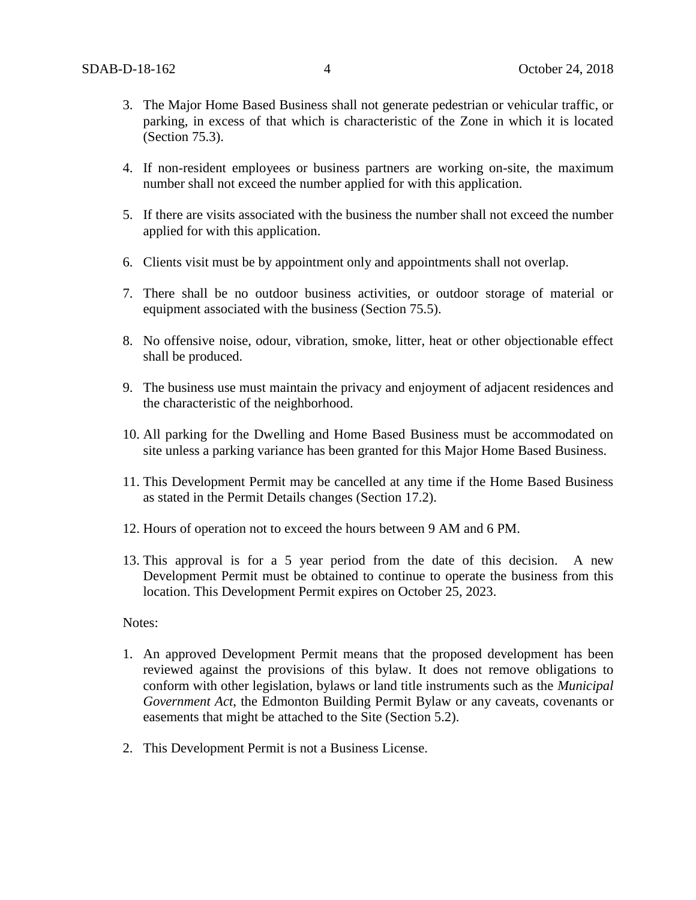- 3. The Major Home Based Business shall not generate pedestrian or vehicular traffic, or parking, in excess of that which is characteristic of the Zone in which it is located (Section 75.3).
- 4. If non-resident employees or business partners are working on-site, the maximum number shall not exceed the number applied for with this application.
- 5. If there are visits associated with the business the number shall not exceed the number applied for with this application.
- 6. Clients visit must be by appointment only and appointments shall not overlap.
- 7. There shall be no outdoor business activities, or outdoor storage of material or equipment associated with the business (Section 75.5).
- 8. No offensive noise, odour, vibration, smoke, litter, heat or other objectionable effect shall be produced.
- 9. The business use must maintain the privacy and enjoyment of adjacent residences and the characteristic of the neighborhood.
- 10. All parking for the Dwelling and Home Based Business must be accommodated on site unless a parking variance has been granted for this Major Home Based Business.
- 11. This Development Permit may be cancelled at any time if the Home Based Business as stated in the Permit Details changes (Section 17.2).
- 12. Hours of operation not to exceed the hours between 9 AM and 6 PM.
- 13. This approval is for a 5 year period from the date of this decision. A new Development Permit must be obtained to continue to operate the business from this location. This Development Permit expires on October 25, 2023.

### Notes:

- 1. An approved Development Permit means that the proposed development has been reviewed against the provisions of this bylaw. It does not remove obligations to conform with other legislation, bylaws or land title instruments such as the *Municipal Government Act*, the Edmonton Building Permit Bylaw or any caveats, covenants or easements that might be attached to the Site (Section 5.2).
- 2. This Development Permit is not a Business License.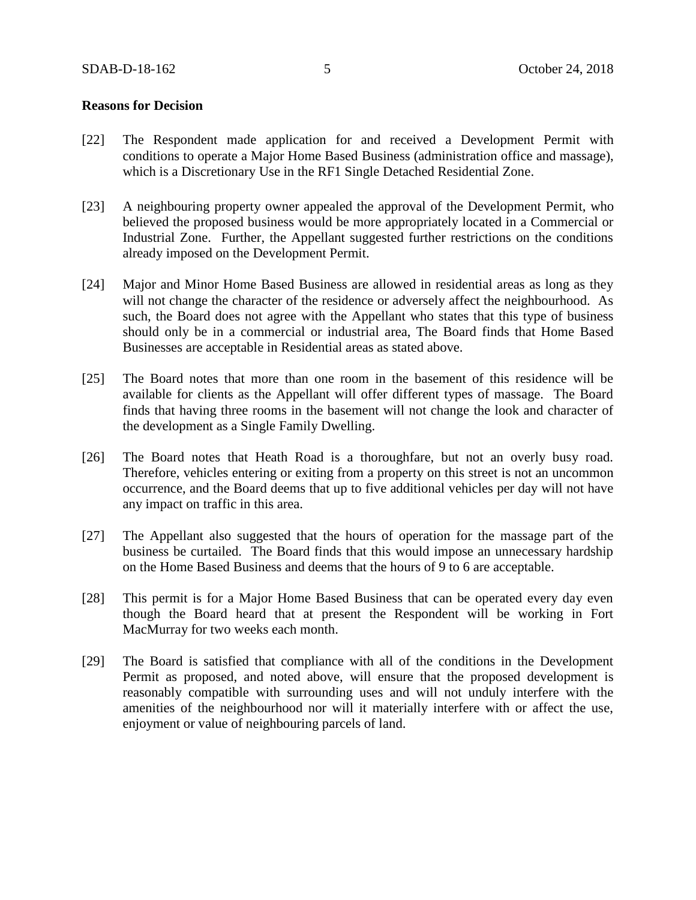### **Reasons for Decision**

- [22] The Respondent made application for and received a Development Permit with conditions to operate a Major Home Based Business (administration office and massage), which is a Discretionary Use in the RF1 Single Detached Residential Zone.
- [23] A neighbouring property owner appealed the approval of the Development Permit, who believed the proposed business would be more appropriately located in a Commercial or Industrial Zone. Further, the Appellant suggested further restrictions on the conditions already imposed on the Development Permit.
- [24] Major and Minor Home Based Business are allowed in residential areas as long as they will not change the character of the residence or adversely affect the neighbourhood. As such, the Board does not agree with the Appellant who states that this type of business should only be in a commercial or industrial area, The Board finds that Home Based Businesses are acceptable in Residential areas as stated above.
- [25] The Board notes that more than one room in the basement of this residence will be available for clients as the Appellant will offer different types of massage. The Board finds that having three rooms in the basement will not change the look and character of the development as a Single Family Dwelling.
- [26] The Board notes that Heath Road is a thoroughfare, but not an overly busy road. Therefore, vehicles entering or exiting from a property on this street is not an uncommon occurrence, and the Board deems that up to five additional vehicles per day will not have any impact on traffic in this area.
- [27] The Appellant also suggested that the hours of operation for the massage part of the business be curtailed. The Board finds that this would impose an unnecessary hardship on the Home Based Business and deems that the hours of 9 to 6 are acceptable.
- [28] This permit is for a Major Home Based Business that can be operated every day even though the Board heard that at present the Respondent will be working in Fort MacMurray for two weeks each month.
- [29] The Board is satisfied that compliance with all of the conditions in the Development Permit as proposed, and noted above, will ensure that the proposed development is reasonably compatible with surrounding uses and will not unduly interfere with the amenities of the neighbourhood nor will it materially interfere with or affect the use, enjoyment or value of neighbouring parcels of land.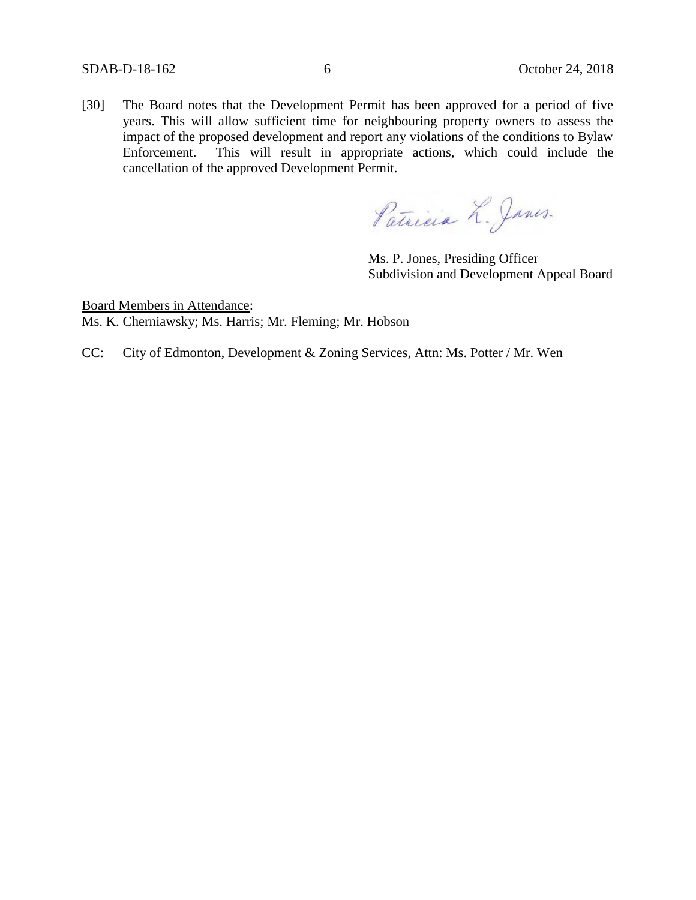[30] The Board notes that the Development Permit has been approved for a period of five years. This will allow sufficient time for neighbouring property owners to assess the impact of the proposed development and report any violations of the conditions to Bylaw Enforcement. This will result in appropriate actions, which could include the cancellation of the approved Development Permit.

Patricia L. Janes.

Ms. P. Jones, Presiding Officer Subdivision and Development Appeal Board

Board Members in Attendance: Ms. K. Cherniawsky; Ms. Harris; Mr. Fleming; Mr. Hobson

CC: City of Edmonton, Development & Zoning Services, Attn: Ms. Potter / Mr. Wen